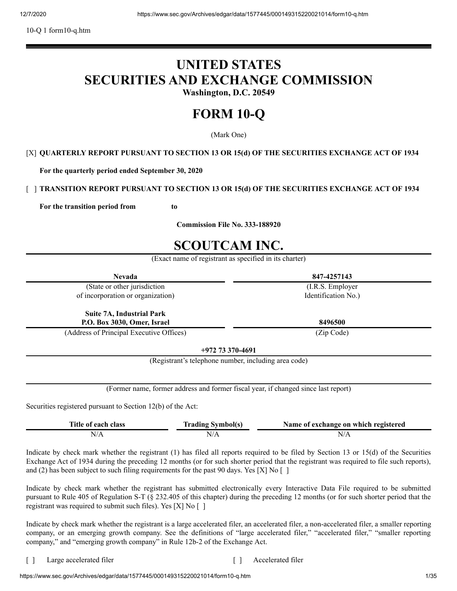10-Q 1 form10-q.htm

# **UNITED STATES SECURITIES AND EXCHANGE COMMISSION**

**Washington, D.C. 20549**

# **FORM 10-Q**

(Mark One)

# [X] **QUARTERLY REPORT PURSUANT TO SECTION 13 OR 15(d) OF THE SECURITIES EXCHANGE ACT OF 1934**

**For the quarterly period ended September 30, 2020**

# [ ] **TRANSITION REPORT PURSUANT TO SECTION 13 OR 15(d) OF THE SECURITIES EXCHANGE ACT OF 1934**

**For the transition period from to**

**Commission File No. 333-188920**

# **SCOUTCAM INC.**

(Exact name of registrant as specified in its charter)

| <b>Nevada</b>                                               |                                                      | 847-4257143                                                                        |
|-------------------------------------------------------------|------------------------------------------------------|------------------------------------------------------------------------------------|
| (State or other jurisdiction                                |                                                      | (I.R.S. Employer)                                                                  |
| of incorporation or organization)                           |                                                      | Identification No.)                                                                |
| <b>Suite 7A, Industrial Park</b>                            |                                                      |                                                                                    |
| P.O. Box 3030, Omer, Israel                                 |                                                      | 8496500                                                                            |
| (Address of Principal Executive Offices)                    |                                                      | (Zip Code)                                                                         |
|                                                             | $+97273370-4691$                                     |                                                                                    |
|                                                             | (Registrant's telephone number, including area code) |                                                                                    |
|                                                             |                                                      |                                                                                    |
|                                                             |                                                      | (Former name, former address and former fiscal year, if changed since last report) |
| Securities registered pursuant to Section 12(b) of the Act: |                                                      |                                                                                    |
| Title of each class                                         | <b>Trading Symbol(s)</b>                             | Name of exchange on which registered                                               |
| N/A                                                         | N/A                                                  | N/A                                                                                |

Indicate by check mark whether the registrant (1) has filed all reports required to be filed by Section 13 or 15(d) of the Securities Exchange Act of 1934 during the preceding 12 months (or for such shorter period that the registrant was required to file such reports), and (2) has been subject to such filing requirements for the past 90 days. Yes [X] No  $\lbrack$  ]

Indicate by check mark whether the registrant has submitted electronically every Interactive Data File required to be submitted pursuant to Rule 405 of Regulation S-T (§ 232.405 of this chapter) during the preceding 12 months (or for such shorter period that the registrant was required to submit such files). Yes [X] No [ ]

Indicate by check mark whether the registrant is a large accelerated filer, an accelerated filer, a non-accelerated filer, a smaller reporting company, or an emerging growth company. See the definitions of "large accelerated filer," "accelerated filer," "smaller reporting company," and "emerging growth company" in Rule 12b-2 of the Exchange Act.

[ ] Large accelerated filer [ ] Accelerated filer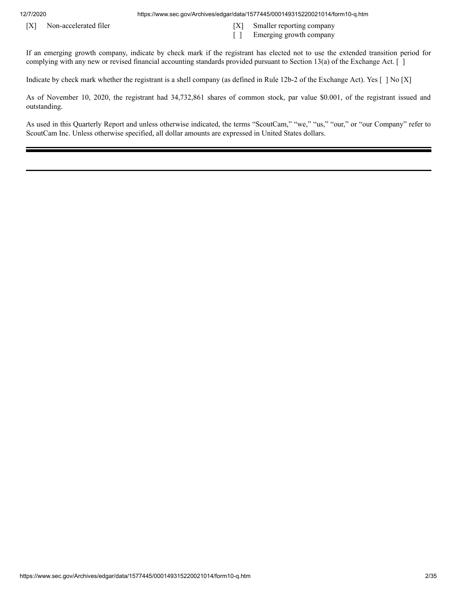12/7/2020 https://www.sec.gov/Archives/edgar/data/1577445/000149315220021014/form10-q.htm

- [X] Non-accelerated filer [X] Smaller reporting company
	- [ ] Emerging growth company

If an emerging growth company, indicate by check mark if the registrant has elected not to use the extended transition period for complying with any new or revised financial accounting standards provided pursuant to Section 13(a) of the Exchange Act. [ ]

Indicate by check mark whether the registrant is a shell company (as defined in Rule 12b-2 of the Exchange Act). Yes [ ] No [X]

As of November 10, 2020, the registrant had 34,732,861 shares of common stock, par value \$0.001, of the registrant issued and outstanding.

As used in this Quarterly Report and unless otherwise indicated, the terms "ScoutCam," "we," "us," "our," or "our Company" refer to ScoutCam Inc. Unless otherwise specified, all dollar amounts are expressed in United States dollars.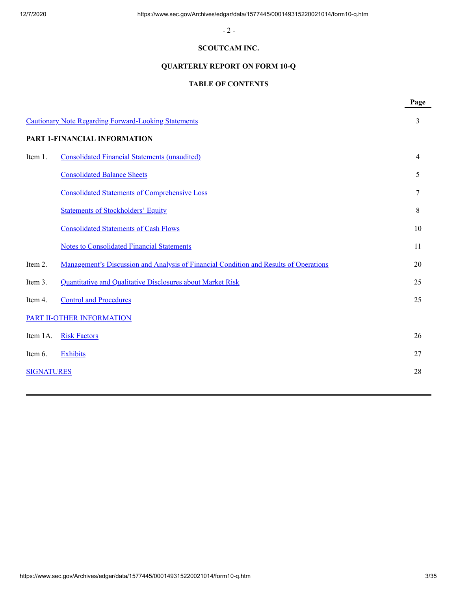- 2 -

# **SCOUTCAM INC.**

# **QUARTERLY REPORT ON FORM 10-Q**

# **TABLE OF CONTENTS**

|                   |                                                                                       | Page           |
|-------------------|---------------------------------------------------------------------------------------|----------------|
|                   | <b>Cautionary Note Regarding Forward-Looking Statements</b>                           | 3              |
|                   | PART 1-FINANCIAL INFORMATION                                                          |                |
| Item 1.           | Consolidated Financial Statements (unaudited)                                         | $\overline{4}$ |
|                   | <b>Consolidated Balance Sheets</b>                                                    | 5              |
|                   | <b>Consolidated Statements of Comprehensive Loss</b>                                  | 7              |
|                   | <b>Statements of Stockholders' Equity</b>                                             | 8              |
|                   | <b>Consolidated Statements of Cash Flows</b>                                          | 10             |
|                   | <b>Notes to Consolidated Financial Statements</b>                                     | 11             |
| Item 2.           | Management's Discussion and Analysis of Financial Condition and Results of Operations | 20             |
| Item 3.           | Quantitative and Qualitative Disclosures about Market Risk                            | 25             |
| Item 4.           | <b>Control and Procedures</b>                                                         | 25             |
|                   | PART II-OTHER INFORMATION                                                             |                |
| Item 1A.          | <b>Risk Factors</b>                                                                   | 26             |
| Item 6.           | Exhibits                                                                              | 27             |
| <b>SIGNATURES</b> |                                                                                       | 28             |
|                   |                                                                                       |                |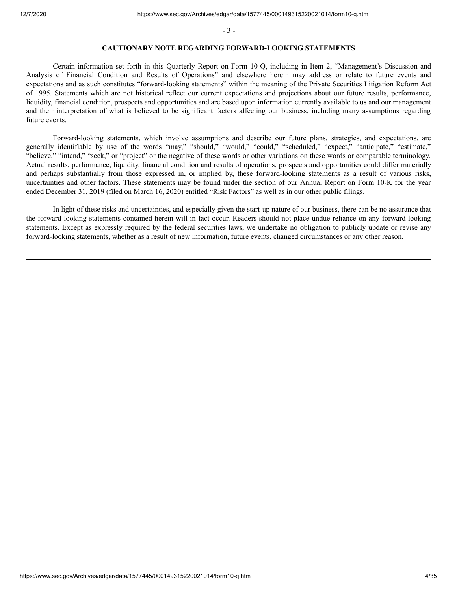- 3 -

#### **CAUTIONARY NOTE REGARDING FORWARD-LOOKING STATEMENTS**

<span id="page-3-0"></span>Certain information set forth in this Quarterly Report on Form 10-Q, including in Item 2, "Management's Discussion and Analysis of Financial Condition and Results of Operations" and elsewhere herein may address or relate to future events and expectations and as such constitutes "forward-looking statements" within the meaning of the Private Securities Litigation Reform Act of 1995. Statements which are not historical reflect our current expectations and projections about our future results, performance, liquidity, financial condition, prospects and opportunities and are based upon information currently available to us and our management and their interpretation of what is believed to be significant factors affecting our business, including many assumptions regarding future events.

Forward-looking statements, which involve assumptions and describe our future plans, strategies, and expectations, are generally identifiable by use of the words "may," "should," "would," "could," "scheduled," "expect," "anticipate," "estimate," "believe," "intend," "seek," or "project" or the negative of these words or other variations on these words or comparable terminology. Actual results, performance, liquidity, financial condition and results of operations, prospects and opportunities could differ materially and perhaps substantially from those expressed in, or implied by, these forward-looking statements as a result of various risks, uncertainties and other factors. These statements may be found under the section of our Annual Report on Form 10-K for the year ended December 31, 2019 (filed on March 16, 2020) entitled "Risk Factors" as well as in our other public filings.

In light of these risks and uncertainties, and especially given the start-up nature of our business, there can be no assurance that the forward-looking statements contained herein will in fact occur. Readers should not place undue reliance on any forward-looking statements. Except as expressly required by the federal securities laws, we undertake no obligation to publicly update or revise any forward-looking statements, whether as a result of new information, future events, changed circumstances or any other reason.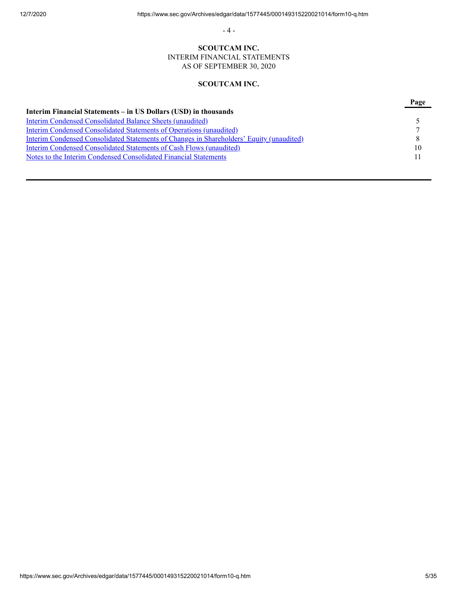- 4 -

# **SCOUTCAM INC.**

INTERIM FINANCIAL STATEMENTS AS OF SEPTEMBER 30, 2020

# **SCOUTCAM INC.**

<span id="page-4-0"></span>

|                                                                                          | Page |
|------------------------------------------------------------------------------------------|------|
| Interim Financial Statements – in US Dollars (USD) in thousands                          |      |
| <b>Interim Condensed Consolidated Balance Sheets (unaudited)</b>                         |      |
| <b>Interim Condensed Consolidated Statements of Operations (unaudited)</b>               |      |
| Interim Condensed Consolidated Statements of Changes in Shareholders' Equity (unaudited) | 8    |
| Interim Condensed Consolidated Statements of Cash Flows (unaudited)                      | 10   |
| Notes to the Interim Condensed Consolidated Financial Statements                         |      |
|                                                                                          |      |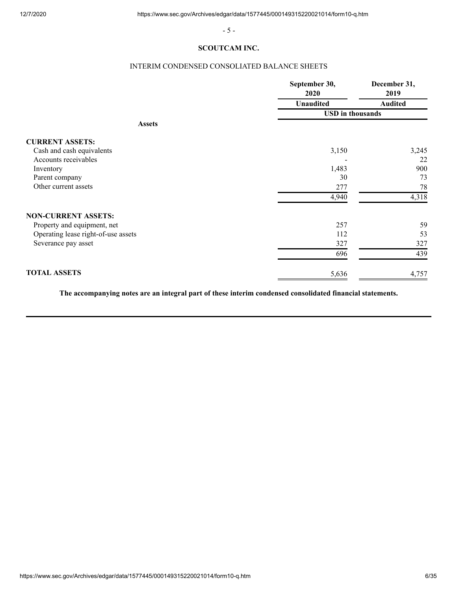- 5 -

# **SCOUTCAM INC.**

# INTERIM CONDENSED CONSOLIATED BALANCE SHEETS

<span id="page-5-0"></span>

|                                     | September 30,<br>2020   | December 31,<br>2019 |  |
|-------------------------------------|-------------------------|----------------------|--|
|                                     | <b>Unaudited</b>        | <b>Audited</b>       |  |
|                                     | <b>USD</b> in thousands |                      |  |
| <b>Assets</b>                       |                         |                      |  |
| <b>CURRENT ASSETS:</b>              |                         |                      |  |
| Cash and cash equivalents           | 3,150                   | 3,245                |  |
| Accounts receivables                |                         | 22                   |  |
| Inventory                           | 1,483                   | 900                  |  |
| Parent company                      | 30                      | 73                   |  |
| Other current assets                | 277                     | 78                   |  |
|                                     | 4,940                   | 4,318                |  |
| <b>NON-CURRENT ASSETS:</b>          |                         |                      |  |
| Property and equipment, net         | 257                     | 59                   |  |
| Operating lease right-of-use assets | 112                     | 53                   |  |
| Severance pay asset                 | 327                     | 327                  |  |
|                                     | 696                     | 439                  |  |
| <b>TOTAL ASSETS</b>                 | 5,636                   | 4,757                |  |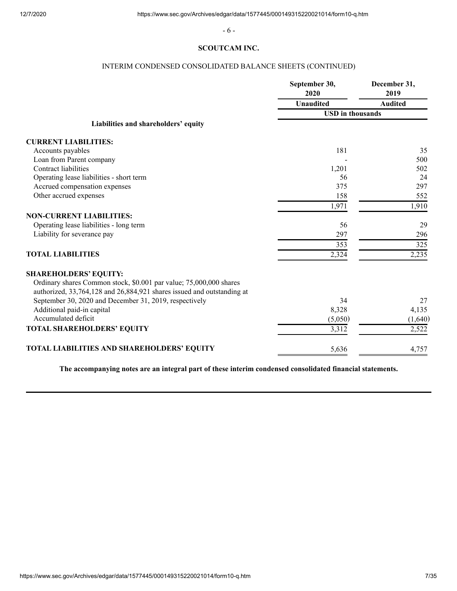- 6 -

# **SCOUTCAM INC.**

# INTERIM CONDENSED CONSOLIDATED BALANCE SHEETS (CONTINUED)

|                                                                                                                                              | September 30,<br>2020   | December 31,<br>2019 |
|----------------------------------------------------------------------------------------------------------------------------------------------|-------------------------|----------------------|
|                                                                                                                                              | <b>Unaudited</b>        | <b>Audited</b>       |
|                                                                                                                                              | <b>USD</b> in thousands |                      |
| Liabilities and shareholders' equity                                                                                                         |                         |                      |
| <b>CURRENT LIABILITIES:</b>                                                                                                                  |                         |                      |
| Accounts payables                                                                                                                            | 181                     | 35                   |
| Loan from Parent company                                                                                                                     |                         | 500                  |
| Contract liabilities                                                                                                                         | 1,201                   | 502                  |
| Operating lease liabilities - short term                                                                                                     | 56                      | 24                   |
| Accrued compensation expenses                                                                                                                | 375                     | 297                  |
| Other accrued expenses                                                                                                                       | 158                     | 552                  |
|                                                                                                                                              | 1,971                   | 1,910                |
| <b>NON-CURRENT LIABILITIES:</b>                                                                                                              |                         |                      |
| Operating lease liabilities - long term                                                                                                      | 56                      | 29                   |
| Liability for severance pay                                                                                                                  | 297                     | 296                  |
|                                                                                                                                              | 353                     | 325                  |
| <b>TOTAL LIABILITIES</b>                                                                                                                     | 2,324                   | 2,235                |
| <b>SHAREHOLDERS' EQUITY:</b>                                                                                                                 |                         |                      |
| Ordinary shares Common stock, \$0.001 par value; 75,000,000 shares<br>authorized, 33,764,128 and 26,884,921 shares issued and outstanding at |                         |                      |
| September 30, 2020 and December 31, 2019, respectively                                                                                       | 34                      | 27                   |
| Additional paid-in capital                                                                                                                   | 8,328                   | 4,135                |
| Accumulated deficit                                                                                                                          | (5,050)                 | (1,640)              |
| TOTAL SHAREHOLDERS' EQUITY                                                                                                                   | 3,312                   | 2,522                |
|                                                                                                                                              |                         |                      |
| TOTAL LIABILITIES AND SHAREHOLDERS' EQUITY                                                                                                   | 5,636                   | 4,757                |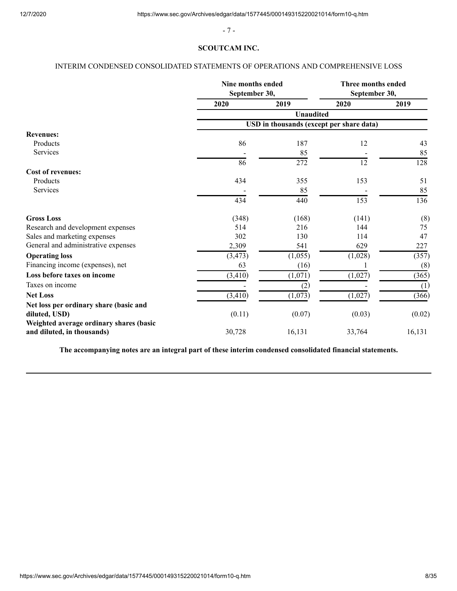- 7 -

# **SCOUTCAM INC.**

# <span id="page-7-0"></span>INTERIM CONDENSED CONSOLIDATED STATEMENTS OF OPERATIONS AND COMPREHENSIVE LOSS

|                                                                       | Nine months ended<br>September 30, |                                          | Three months ended<br>September 30, |        |  |
|-----------------------------------------------------------------------|------------------------------------|------------------------------------------|-------------------------------------|--------|--|
|                                                                       | 2020                               | 2019                                     | 2020                                | 2019   |  |
|                                                                       |                                    | <b>Unaudited</b>                         |                                     |        |  |
|                                                                       |                                    | USD in thousands (except per share data) |                                     |        |  |
| <b>Revenues:</b>                                                      |                                    |                                          |                                     |        |  |
| Products                                                              | 86                                 | 187                                      | 12                                  | 43     |  |
| Services                                                              |                                    | 85                                       |                                     | 85     |  |
|                                                                       | 86                                 | 272                                      | 12                                  | 128    |  |
| <b>Cost of revenues:</b>                                              |                                    |                                          |                                     |        |  |
| Products                                                              | 434                                | 355                                      | 153                                 | 51     |  |
| Services                                                              |                                    | 85                                       |                                     | 85     |  |
|                                                                       | 434                                | 440                                      | 153                                 | 136    |  |
| <b>Gross Loss</b>                                                     | (348)                              | (168)                                    | (141)                               | (8)    |  |
| Research and development expenses                                     | 514                                | 216                                      | 144                                 | 75     |  |
| Sales and marketing expenses                                          | 302                                | 130                                      | 114                                 | 47     |  |
| General and administrative expenses                                   | 2,309                              | 541                                      | 629                                 | 227    |  |
| <b>Operating loss</b>                                                 | (3, 473)                           | (1,055)                                  | (1,028)                             | (357)  |  |
| Financing income (expenses), net                                      | 63                                 | (16)                                     |                                     | (8)    |  |
| Loss before taxes on income                                           | (3, 410)                           | (1,071)                                  | (1,027)                             | (365)  |  |
| Taxes on income                                                       |                                    | (2)                                      |                                     | (1)    |  |
| <b>Net Loss</b>                                                       | (3, 410)                           | (1,073)                                  | (1,027)                             | (366)  |  |
| Net loss per ordinary share (basic and                                |                                    |                                          |                                     |        |  |
| diluted, USD)                                                         | (0.11)                             | (0.07)                                   | (0.03)                              | (0.02) |  |
| Weighted average ordinary shares (basic<br>and diluted, in thousands) | 30,728                             | 16,131                                   | 33,764                              | 16,131 |  |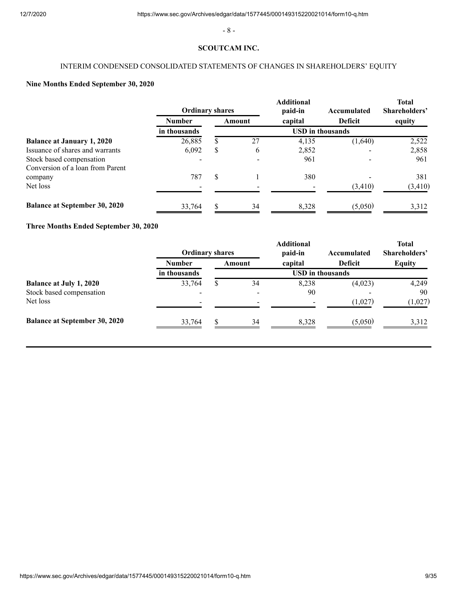- 8 -

#### **SCOUTCAM INC.**

# INTERIM CONDENSED CONSOLIDATED STATEMENTS OF CHANGES IN SHAREHOLDERS' EQUITY

# <span id="page-8-0"></span>**Nine Months Ended September 30, 2020**

|                                      | <b>Ordinary shares</b> |     |        | <b>Additional</b><br>paid-in | Accumulated             | <b>Total</b><br>Shareholders' |
|--------------------------------------|------------------------|-----|--------|------------------------------|-------------------------|-------------------------------|
|                                      | <b>Number</b>          |     | Amount | capital                      | Deficit                 | equity                        |
|                                      | in thousands           |     |        |                              | <b>USD</b> in thousands |                               |
| <b>Balance at January 1, 2020</b>    | 26,885                 | S.  | 27     | 4,135                        | (1,640)                 | 2,522                         |
| Issuance of shares and warrants      | 6,092                  | \$. | 6      | 2,852                        |                         | 2,858                         |
| Stock based compensation             |                        |     |        | 961                          |                         | 961                           |
| Conversion of a loan from Parent     |                        |     |        |                              |                         |                               |
| company                              | 787                    | \$. |        | 380                          |                         | 381                           |
| Net loss                             |                        |     |        |                              | (3, 410)                | (3, 410)                      |
| <b>Balance at September 30, 2020</b> | 33,764                 |     | 34     | 8.328                        | (5,050)                 | 3,312                         |

# **Three Months Ended September 30, 2020**

|                                      | <b>Ordinary shares</b>   |     |        | <b>Additional</b><br>paid-in | Accumulated    | <b>Total</b><br>Shareholders' |
|--------------------------------------|--------------------------|-----|--------|------------------------------|----------------|-------------------------------|
|                                      | <b>Number</b>            |     | Amount | capital                      | <b>Deficit</b> | <b>Equity</b>                 |
|                                      | in thousands             |     |        | <b>USD</b> in thousands      |                |                               |
| <b>Balance at July 1, 2020</b>       | 33,764                   | \$. | 34     | 8,238                        | (4,023)        | 4,249                         |
| Stock based compensation             |                          |     |        | 90                           |                | 90                            |
| Net loss                             | $\overline{\phantom{a}}$ |     |        |                              | (1,027)        | (1,027)                       |
| <b>Balance at September 30, 2020</b> | 33,764                   |     | 34     | 8,328                        | (5,050)        | 3,312                         |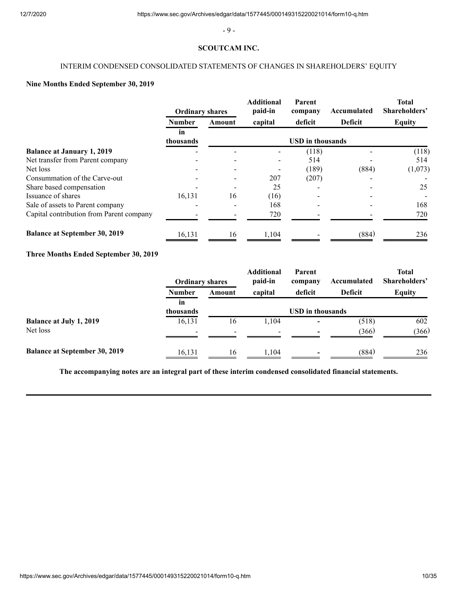- 9 -

# **SCOUTCAM INC.**

# INTERIM CONDENSED CONSOLIDATED STATEMENTS OF CHANGES IN SHAREHOLDERS' EQUITY

# **Nine Months Ended September 30, 2019**

|                                          | <b>Ordinary shares</b> |        | <b>Additional</b><br>paid-in | Parent<br>company       | Accumulated    | <b>Total</b><br>Shareholders' |
|------------------------------------------|------------------------|--------|------------------------------|-------------------------|----------------|-------------------------------|
|                                          | <b>Number</b>          | Amount | capital                      | deficit                 | <b>Deficit</b> | <b>Equity</b>                 |
|                                          | in<br>thousands        |        |                              | <b>USD</b> in thousands |                |                               |
| <b>Balance at January 1, 2019</b>        |                        |        |                              | (118)                   |                | (118)                         |
| Net transfer from Parent company         |                        |        |                              | 514                     |                | 514                           |
| Net loss                                 |                        |        |                              | (189)                   | (884)          | (1,073)                       |
| Consummation of the Carve-out            |                        |        | 207                          | (207)                   |                |                               |
| Share based compensation                 |                        |        | 25                           |                         |                | 25                            |
| Issuance of shares                       | 16,131                 | 16     | (16)                         |                         |                |                               |
| Sale of assets to Parent company         |                        |        | 168                          |                         |                | 168                           |
| Capital contribution from Parent company |                        |        | 720                          |                         |                | 720                           |
| <b>Balance at September 30, 2019</b>     | 16,131                 | 16     | 1,104                        |                         | (884)          | 236                           |

# **Three Months Ended September 30, 2019**

|                                      | <b>Ordinary shares</b> |        | <b>Additional</b><br>paid-in | Parent<br>company        | Accumulated    | <b>Total</b><br>Shareholders' |
|--------------------------------------|------------------------|--------|------------------------------|--------------------------|----------------|-------------------------------|
|                                      | <b>Number</b>          | Amount | capital                      | deficit                  | <b>Deficit</b> | <b>Equity</b>                 |
|                                      | in<br>thousands        |        |                              | <b>USD</b> in thousands  |                |                               |
| <b>Balance at July 1, 2019</b>       | 16,131                 | 16     | 1,104                        | $\overline{\phantom{0}}$ | (518)          | 602                           |
| Net loss                             |                        |        |                              |                          | (366)          | (366)                         |
| <b>Balance at September 30, 2019</b> | 16,131                 | 16     | 1.104                        |                          | (884)          | 236                           |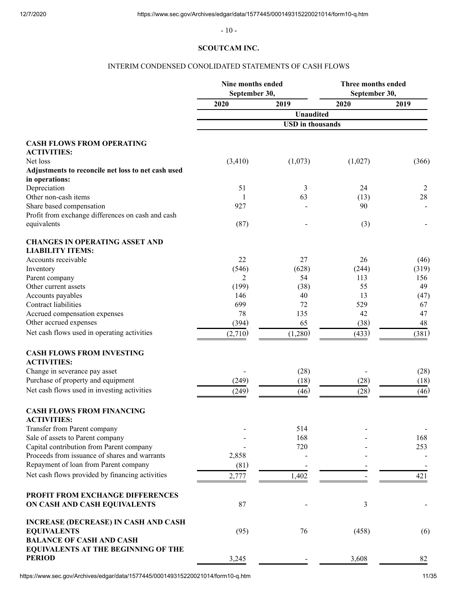- 10 -  $\,$ 

# **SCOUTCAM INC.**

# INTERIM CONDENSED CONOLIDATED STATEMENTS OF CASH FLOWS

<span id="page-10-0"></span>

|                                                    | Nine months ended<br>September 30, |                         | Three months ended<br>September 30, |       |
|----------------------------------------------------|------------------------------------|-------------------------|-------------------------------------|-------|
|                                                    | 2020                               | 2019                    | 2020                                | 2019  |
|                                                    |                                    | <b>Unaudited</b>        |                                     |       |
|                                                    |                                    | <b>USD</b> in thousands |                                     |       |
| <b>CASH FLOWS FROM OPERATING</b>                   |                                    |                         |                                     |       |
| <b>ACTIVITIES:</b>                                 |                                    |                         |                                     |       |
| Net loss                                           | (3,410)                            | (1,073)                 | (1,027)                             | (366) |
| Adjustments to reconcile net loss to net cash used |                                    |                         |                                     |       |
| in operations:                                     |                                    |                         |                                     |       |
| Depreciation                                       | 51                                 | 3                       | 24                                  | 2     |
| Other non-cash items                               | 1                                  | 63                      | (13)                                | 28    |
| Share based compensation                           | 927                                |                         | 90                                  |       |
| Profit from exchange differences on cash and cash  |                                    |                         |                                     |       |
| equivalents                                        | (87)                               |                         | (3)                                 |       |
| <b>CHANGES IN OPERATING ASSET AND</b>              |                                    |                         |                                     |       |
| <b>LIABILITY ITEMS:</b>                            |                                    |                         |                                     |       |
| Accounts receivable                                | 22                                 | 27                      | 26                                  | (46)  |
| Inventory                                          | (546)                              | (628)                   | (244)                               | (319) |
| Parent company                                     | 2                                  | 54                      | 113                                 | 156   |
| Other current assets                               | (199)                              | (38)                    | 55                                  | 49    |
| Accounts payables                                  | 146                                | 40                      | 13                                  | (47)  |
| <b>Contract liabilities</b>                        | 699                                | 72                      | 529                                 | 67    |
| Accrued compensation expenses                      | 78                                 | 135                     | 42                                  | 47    |
| Other accrued expenses                             | (394)                              | 65                      | (38)                                | 48    |
| Net cash flows used in operating activities        | (2,710)                            | (1,280)                 | (433)                               | (381) |
| <b>CASH FLOWS FROM INVESTING</b>                   |                                    |                         |                                     |       |
| <b>ACTIVITIES:</b>                                 |                                    |                         |                                     |       |
| Change in severance pay asset                      |                                    | (28)                    |                                     | (28)  |
| Purchase of property and equipment                 | (249)                              | (18)                    | (28)                                | (18)  |
| Net cash flows used in investing activities        | (249)                              | (46)                    | (28)                                | (46)  |
| <b>CASH FLOWS FROM FINANCING</b>                   |                                    |                         |                                     |       |
| <b>ACTIVITIES:</b>                                 |                                    |                         |                                     |       |
| Transfer from Parent company                       |                                    | 514                     |                                     |       |
| Sale of assets to Parent company                   |                                    | 168                     |                                     | 168   |
| Capital contribution from Parent company           |                                    | 720                     |                                     | 253   |
| Proceeds from issuance of shares and warrants      | 2,858                              |                         |                                     |       |
| Repayment of loan from Parent company              | (81)                               |                         |                                     |       |
| Net cash flows provided by financing activities    | 2,777                              | 1,402                   |                                     | 421   |
|                                                    |                                    |                         |                                     |       |
| PROFIT FROM EXCHANGE DIFFERENCES                   |                                    |                         |                                     |       |
| ON CASH AND CASH EQUIVALENTS                       | 87                                 |                         | 3                                   |       |
| <b>INCREASE (DECREASE) IN CASH AND CASH</b>        |                                    |                         |                                     |       |
| <b>EQUIVALENTS</b>                                 | (95)                               | 76                      | (458)                               | (6)   |
| <b>BALANCE OF CASH AND CASH</b>                    |                                    |                         |                                     |       |
| <b>EQUIVALENTS AT THE BEGINNING OF THE</b>         |                                    |                         |                                     |       |
| <b>PERIOD</b>                                      | 3,245                              |                         | 3,608                               | 82    |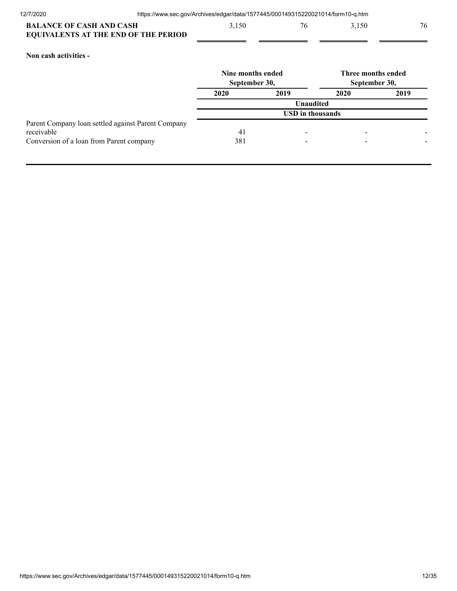| <b>BALANCE OF CASH AND CASH</b>             | 3,150 | 76 | 3,150 |  |
|---------------------------------------------|-------|----|-------|--|
| <b>EQUIVALENTS AT THE END OF THE PERIOD</b> |       |    |       |  |

# **Non cash activities -**

|                                                    | Nine months ended<br>September 30, |                         |      | Three months ended<br>September 30, |
|----------------------------------------------------|------------------------------------|-------------------------|------|-------------------------------------|
|                                                    | 2020                               | 2019                    | 2020 | 2019                                |
|                                                    |                                    | <b>Unaudited</b>        |      |                                     |
|                                                    |                                    | <b>USD</b> in thousands |      |                                     |
| Parent Company loan settled against Parent Company |                                    |                         |      |                                     |
| receivable                                         | 41                                 |                         |      |                                     |
| Conversion of a loan from Parent company           | 381                                |                         |      |                                     |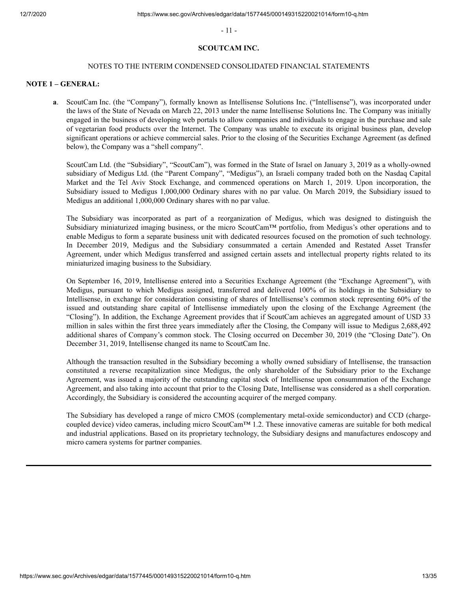- 11 -

#### **SCOUTCAM INC.**

#### NOTES TO THE INTERIM CONDENSED CONSOLIDATED FINANCIAL STATEMENTS

#### <span id="page-12-0"></span>**NOTE 1 – GENERAL:**

**a**. ScoutCam Inc. (the "Company"), formally known as Intellisense Solutions Inc. ("Intellisense"), was incorporated under the laws of the State of Nevada on March 22, 2013 under the name Intellisense Solutions Inc. The Company was initially engaged in the business of developing web portals to allow companies and individuals to engage in the purchase and sale of vegetarian food products over the Internet. The Company was unable to execute its original business plan, develop significant operations or achieve commercial sales. Prior to the closing of the Securities Exchange Agreement (as defined below), the Company was a "shell company".

ScoutCam Ltd. (the "Subsidiary", "ScoutCam"), was formed in the State of Israel on January 3, 2019 as a wholly-owned subsidiary of Medigus Ltd. (the "Parent Company", "Medigus"), an Israeli company traded both on the Nasdaq Capital Market and the Tel Aviv Stock Exchange, and commenced operations on March 1, 2019. Upon incorporation, the Subsidiary issued to Medigus 1,000,000 Ordinary shares with no par value. On March 2019, the Subsidiary issued to Medigus an additional 1,000,000 Ordinary shares with no par value.

The Subsidiary was incorporated as part of a reorganization of Medigus, which was designed to distinguish the Subsidiary miniaturized imaging business, or the micro ScoutCam™ portfolio, from Medigus's other operations and to enable Medigus to form a separate business unit with dedicated resources focused on the promotion of such technology. In December 2019, Medigus and the Subsidiary consummated a certain Amended and Restated Asset Transfer Agreement, under which Medigus transferred and assigned certain assets and intellectual property rights related to its miniaturized imaging business to the Subsidiary.

On September 16, 2019, Intellisense entered into a Securities Exchange Agreement (the "Exchange Agreement"), with Medigus, pursuant to which Medigus assigned, transferred and delivered 100% of its holdings in the Subsidiary to Intellisense, in exchange for consideration consisting of shares of Intellisense's common stock representing 60% of the issued and outstanding share capital of Intellisense immediately upon the closing of the Exchange Agreement (the "Closing"). In addition, the Exchange Agreement provides that if ScoutCam achieves an aggregated amount of USD 33 million in sales within the first three years immediately after the Closing, the Company will issue to Medigus 2,688,492 additional shares of Company's common stock. The Closing occurred on December 30, 2019 (the "Closing Date"). On December 31, 2019, Intellisense changed its name to ScoutCam Inc.

Although the transaction resulted in the Subsidiary becoming a wholly owned subsidiary of Intellisense, the transaction constituted a reverse recapitalization since Medigus, the only shareholder of the Subsidiary prior to the Exchange Agreement, was issued a majority of the outstanding capital stock of Intellisense upon consummation of the Exchange Agreement, and also taking into account that prior to the Closing Date, Intellisense was considered as a shell corporation. Accordingly, the Subsidiary is considered the accounting acquirer of the merged company.

The Subsidiary has developed a range of micro CMOS (complementary metal-oxide semiconductor) and CCD (chargecoupled device) video cameras, including micro ScoutCam™ 1.2. These innovative cameras are suitable for both medical and industrial applications. Based on its proprietary technology, the Subsidiary designs and manufactures endoscopy and micro camera systems for partner companies.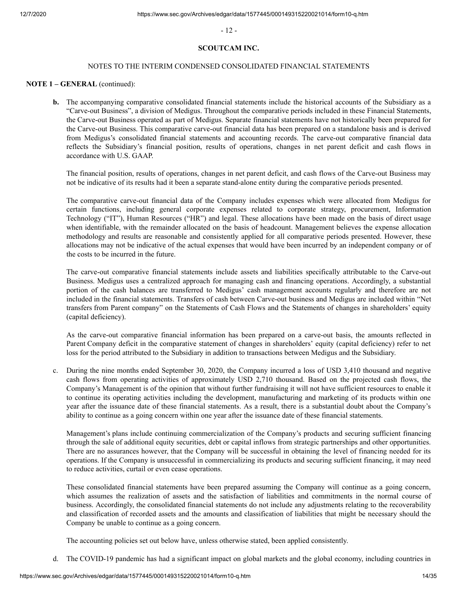- 12 -

#### **SCOUTCAM INC.**

#### NOTES TO THE INTERIM CONDENSED CONSOLIDATED FINANCIAL STATEMENTS

#### **NOTE 1 – GENERAL** (continued):

**b.** The accompanying comparative consolidated financial statements include the historical accounts of the Subsidiary as a "Carve-out Business", a division of Medigus. Throughout the comparative periods included in these Financial Statements, the Carve-out Business operated as part of Medigus. Separate financial statements have not historically been prepared for the Carve-out Business. This comparative carve-out financial data has been prepared on a standalone basis and is derived from Medigus's consolidated financial statements and accounting records. The carve-out comparative financial data reflects the Subsidiary's financial position, results of operations, changes in net parent deficit and cash flows in accordance with U.S. GAAP.

The financial position, results of operations, changes in net parent deficit, and cash flows of the Carve-out Business may not be indicative of its results had it been a separate stand-alone entity during the comparative periods presented.

The comparative carve-out financial data of the Company includes expenses which were allocated from Medigus for certain functions, including general corporate expenses related to corporate strategy, procurement, Information Technology ("IT"), Human Resources ("HR") and legal. These allocations have been made on the basis of direct usage when identifiable, with the remainder allocated on the basis of headcount. Management believes the expense allocation methodology and results are reasonable and consistently applied for all comparative periods presented. However, these allocations may not be indicative of the actual expenses that would have been incurred by an independent company or of the costs to be incurred in the future.

The carve-out comparative financial statements include assets and liabilities specifically attributable to the Carve-out Business. Medigus uses a centralized approach for managing cash and financing operations. Accordingly, a substantial portion of the cash balances are transferred to Medigus' cash management accounts regularly and therefore are not included in the financial statements. Transfers of cash between Carve-out business and Medigus are included within "Net transfers from Parent company" on the Statements of Cash Flows and the Statements of changes in shareholders' equity (capital deficiency).

As the carve-out comparative financial information has been prepared on a carve-out basis, the amounts reflected in Parent Company deficit in the comparative statement of changes in shareholders' equity (capital deficiency) refer to net loss for the period attributed to the Subsidiary in addition to transactions between Medigus and the Subsidiary.

 c. During the nine months ended September 30, 2020, the Company incurred a loss of USD 3,410 thousand and negative cash flows from operating activities of approximately USD 2,710 thousand. Based on the projected cash flows, the Company's Management is of the opinion that without further fundraising it will not have sufficient resources to enable it to continue its operating activities including the development, manufacturing and marketing of its products within one year after the issuance date of these financial statements. As a result, there is a substantial doubt about the Company's ability to continue as a going concern within one year after the issuance date of these financial statements.

 Management's plans include continuing commercialization of the Company's products and securing sufficient financing through the sale of additional equity securities, debt or capital inflows from strategic partnerships and other opportunities. There are no assurances however, that the Company will be successful in obtaining the level of financing needed for its operations. If the Company is unsuccessful in commercializing its products and securing sufficient financing, it may need to reduce activities, curtail or even cease operations.

 These consolidated financial statements have been prepared assuming the Company will continue as a going concern, which assumes the realization of assets and the satisfaction of liabilities and commitments in the normal course of business. Accordingly, the consolidated financial statements do not include any adjustments relating to the recoverability and classification of recorded assets and the amounts and classification of liabilities that might be necessary should the Company be unable to continue as a going concern.

The accounting policies set out below have, unless otherwise stated, been applied consistently.

d. The COVID-19 pandemic has had a significant impact on global markets and the global economy, including countries in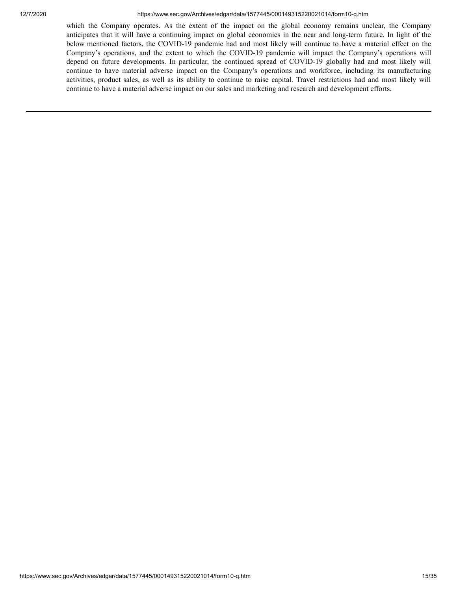#### 12/7/2020 https://www.sec.gov/Archives/edgar/data/1577445/000149315220021014/form10-q.htm

which the Company operates. As the extent of the impact on the global economy remains unclear, the Company anticipates that it will have a continuing impact on global economies in the near and long-term future. In light of the below mentioned factors, the COVID-19 pandemic had and most likely will continue to have a material effect on the Company's operations, and the extent to which the COVID-19 pandemic will impact the Company's operations will depend on future developments. In particular, the continued spread of COVID-19 globally had and most likely will continue to have material adverse impact on the Company's operations and workforce, including its manufacturing activities, product sales, as well as its ability to continue to raise capital. Travel restrictions had and most likely will continue to have a material adverse impact on our sales and marketing and research and development efforts.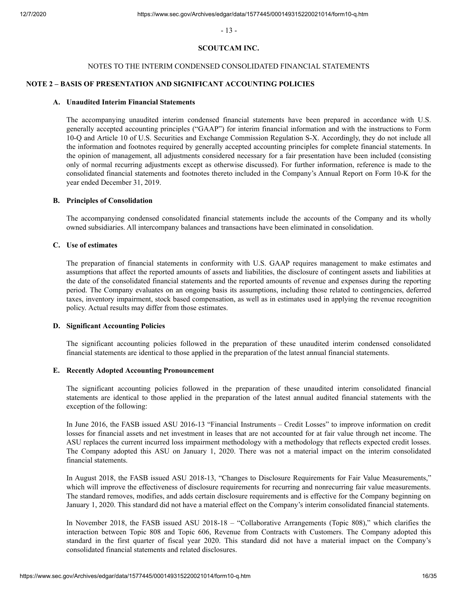- 13 -

# **SCOUTCAM INC.**

#### NOTES TO THE INTERIM CONDENSED CONSOLIDATED FINANCIAL STATEMENTS

# **NOTE 2 – BASIS OF PRESENTATION AND SIGNIFICANT ACCOUNTING POLICIES**

# **A. Unaudited Interim Financial Statements**

The accompanying unaudited interim condensed financial statements have been prepared in accordance with U.S. generally accepted accounting principles ("GAAP") for interim financial information and with the instructions to Form 10-Q and Article 10 of U.S. Securities and Exchange Commission Regulation S-X. Accordingly, they do not include all the information and footnotes required by generally accepted accounting principles for complete financial statements. In the opinion of management, all adjustments considered necessary for a fair presentation have been included (consisting only of normal recurring adjustments except as otherwise discussed). For further information, reference is made to the consolidated financial statements and footnotes thereto included in the Company's Annual Report on Form 10-K for the year ended December 31, 2019.

#### **B. Principles of Consolidation**

The accompanying condensed consolidated financial statements include the accounts of the Company and its wholly owned subsidiaries. All intercompany balances and transactions have been eliminated in consolidation.

#### **C. Use of estimates**

The preparation of financial statements in conformity with U.S. GAAP requires management to make estimates and assumptions that affect the reported amounts of assets and liabilities, the disclosure of contingent assets and liabilities at the date of the consolidated financial statements and the reported amounts of revenue and expenses during the reporting period. The Company evaluates on an ongoing basis its assumptions, including those related to contingencies, deferred taxes, inventory impairment, stock based compensation, as well as in estimates used in applying the revenue recognition policy. Actual results may differ from those estimates.

#### **D. Significant Accounting Policies**

The significant accounting policies followed in the preparation of these unaudited interim condensed consolidated financial statements are identical to those applied in the preparation of the latest annual financial statements.

#### **E. Recently Adopted Accounting Pronouncement**

The significant accounting policies followed in the preparation of these unaudited interim consolidated financial statements are identical to those applied in the preparation of the latest annual audited financial statements with the exception of the following:

In June 2016, the FASB issued ASU 2016-13 "Financial Instruments – Credit Losses" to improve information on credit losses for financial assets and net investment in leases that are not accounted for at fair value through net income. The ASU replaces the current incurred loss impairment methodology with a methodology that reflects expected credit losses. The Company adopted this ASU on January 1, 2020. There was not a material impact on the interim consolidated financial statements.

In August 2018, the FASB issued ASU 2018-13, "Changes to Disclosure Requirements for Fair Value Measurements," which will improve the effectiveness of disclosure requirements for recurring and nonrecurring fair value measurements. The standard removes, modifies, and adds certain disclosure requirements and is effective for the Company beginning on January 1, 2020. This standard did not have a material effect on the Company's interim consolidated financial statements.

In November 2018, the FASB issued ASU 2018-18 – "Collaborative Arrangements (Topic 808)," which clarifies the interaction between Topic 808 and Topic 606, Revenue from Contracts with Customers. The Company adopted this standard in the first quarter of fiscal year 2020. This standard did not have a material impact on the Company's consolidated financial statements and related disclosures.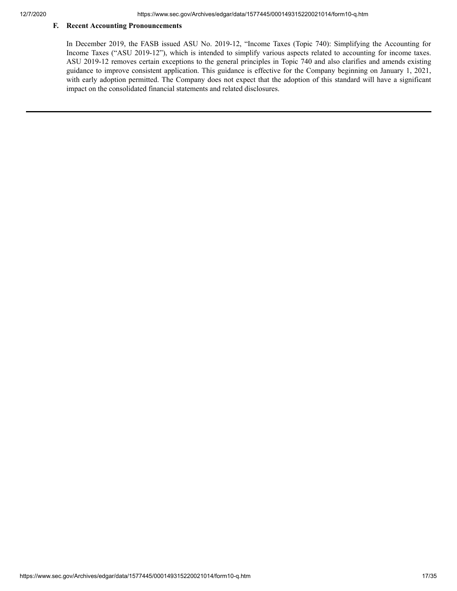# **F. Recent Accounting Pronouncements**

In December 2019, the FASB issued ASU No. 2019-12, "Income Taxes (Topic 740): Simplifying the Accounting for Income Taxes ("ASU 2019-12"), which is intended to simplify various aspects related to accounting for income taxes. ASU 2019-12 removes certain exceptions to the general principles in Topic 740 and also clarifies and amends existing guidance to improve consistent application. This guidance is effective for the Company beginning on January 1, 2021, with early adoption permitted. The Company does not expect that the adoption of this standard will have a significant impact on the consolidated financial statements and related disclosures.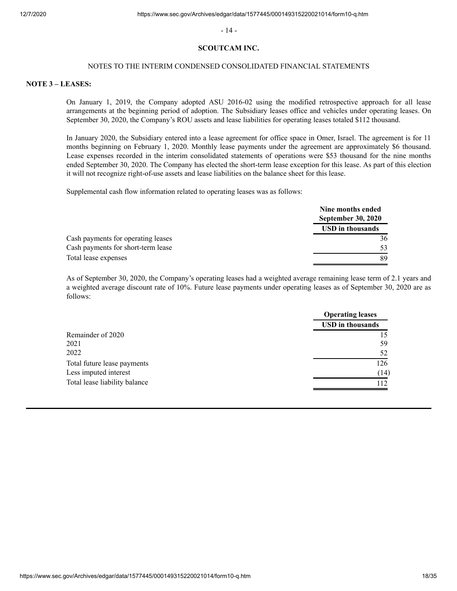- 14 -

#### **SCOUTCAM INC.**

#### NOTES TO THE INTERIM CONDENSED CONSOLIDATED FINANCIAL STATEMENTS

#### **NOTE 3 – LEASES:**

On January 1, 2019, the Company adopted ASU 2016-02 using the modified retrospective approach for all lease arrangements at the beginning period of adoption. The Subsidiary leases office and vehicles under operating leases. On September 30, 2020, the Company's ROU assets and lease liabilities for operating leases totaled \$112 thousand.

In January 2020, the Subsidiary entered into a lease agreement for office space in Omer, Israel. The agreement is for 11 months beginning on February 1, 2020. Monthly lease payments under the agreement are approximately \$6 thousand. Lease expenses recorded in the interim consolidated statements of operations were \$53 thousand for the nine months ended September 30, 2020. The Company has elected the short-term lease exception for this lease. As part of this election it will not recognize right-of-use assets and lease liabilities on the balance sheet for this lease.

Supplemental cash flow information related to operating leases was as follows:

|                                    | Nine months ended<br><b>September 30, 2020</b> |
|------------------------------------|------------------------------------------------|
|                                    | <b>USD</b> in thousands                        |
| Cash payments for operating leases | 36                                             |
| Cash payments for short-term lease | 53                                             |
| Total lease expenses               | 89                                             |

As of September 30, 2020, the Company's operating leases had a weighted average remaining lease term of 2.1 years and a weighted average discount rate of 10%. Future lease payments under operating leases as of September 30, 2020 are as follows:

|                               | <b>Operating leases</b> |  |
|-------------------------------|-------------------------|--|
|                               | <b>USD</b> in thousands |  |
| Remainder of 2020             |                         |  |
| 2021                          | 59                      |  |
| 2022                          | 52                      |  |
| Total future lease payments   | 126                     |  |
| Less imputed interest         | (14)                    |  |
| Total lease liability balance | 112                     |  |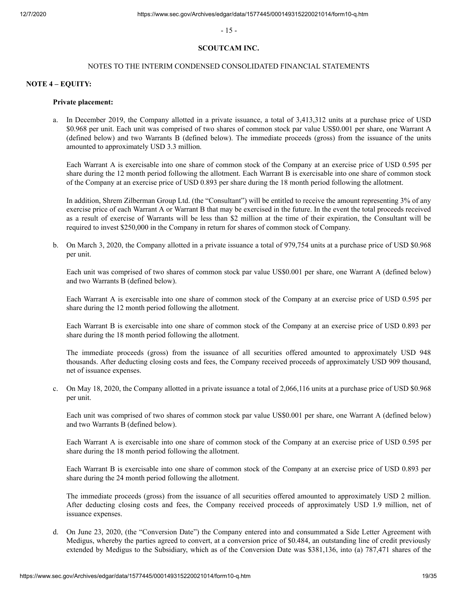- 15 -

#### **SCOUTCAM INC.**

#### NOTES TO THE INTERIM CONDENSED CONSOLIDATED FINANCIAL STATEMENTS

#### **NOTE 4 – EQUITY:**

#### **Private placement:**

 a. In December 2019, the Company allotted in a private issuance, a total of 3,413,312 units at a purchase price of USD \$0.968 per unit. Each unit was comprised of two shares of common stock par value US\$0.001 per share, one Warrant A (defined below) and two Warrants B (defined below). The immediate proceeds (gross) from the issuance of the units amounted to approximately USD 3.3 million.

Each Warrant A is exercisable into one share of common stock of the Company at an exercise price of USD 0.595 per share during the 12 month period following the allotment. Each Warrant B is exercisable into one share of common stock of the Company at an exercise price of USD 0.893 per share during the 18 month period following the allotment.

In addition, Shrem Zilberman Group Ltd. (the "Consultant") will be entitled to receive the amount representing 3% of any exercise price of each Warrant A or Warrant B that may be exercised in the future. In the event the total proceeds received as a result of exercise of Warrants will be less than \$2 million at the time of their expiration, the Consultant will be required to invest \$250,000 in the Company in return for shares of common stock of Company.

 b. On March 3, 2020, the Company allotted in a private issuance a total of 979,754 units at a purchase price of USD \$0.968 per unit.

Each unit was comprised of two shares of common stock par value US\$0.001 per share, one Warrant A (defined below) and two Warrants B (defined below).

Each Warrant A is exercisable into one share of common stock of the Company at an exercise price of USD 0.595 per share during the 12 month period following the allotment.

Each Warrant B is exercisable into one share of common stock of the Company at an exercise price of USD 0.893 per share during the 18 month period following the allotment.

The immediate proceeds (gross) from the issuance of all securities offered amounted to approximately USD 948 thousands. After deducting closing costs and fees, the Company received proceeds of approximately USD 909 thousand, net of issuance expenses.

 c. On May 18, 2020, the Company allotted in a private issuance a total of 2,066,116 units at a purchase price of USD \$0.968 per unit.

Each unit was comprised of two shares of common stock par value US\$0.001 per share, one Warrant A (defined below) and two Warrants B (defined below).

Each Warrant A is exercisable into one share of common stock of the Company at an exercise price of USD 0.595 per share during the 18 month period following the allotment.

Each Warrant B is exercisable into one share of common stock of the Company at an exercise price of USD 0.893 per share during the 24 month period following the allotment.

The immediate proceeds (gross) from the issuance of all securities offered amounted to approximately USD 2 million. After deducting closing costs and fees, the Company received proceeds of approximately USD 1.9 million, net of issuance expenses.

 d. On June 23, 2020, (the "Conversion Date") the Company entered into and consummated a Side Letter Agreement with Medigus, whereby the parties agreed to convert, at a conversion price of \$0.484, an outstanding line of credit previously extended by Medigus to the Subsidiary, which as of the Conversion Date was \$381,136, into (a) 787,471 shares of the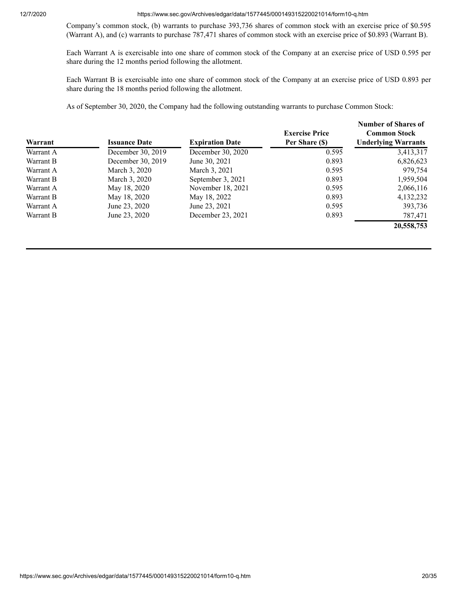12/7/2020 https://www.sec.gov/Archives/edgar/data/1577445/000149315220021014/form10-q.htm

Company's common stock, (b) warrants to purchase 393,736 shares of common stock with an exercise price of \$0.595 (Warrant A), and (c) warrants to purchase 787,471 shares of common stock with an exercise price of \$0.893 (Warrant B).

Each Warrant A is exercisable into one share of common stock of the Company at an exercise price of USD 0.595 per share during the 12 months period following the allotment.

Each Warrant B is exercisable into one share of common stock of the Company at an exercise price of USD 0.893 per share during the 18 months period following the allotment.

As of September 30, 2020, the Company had the following outstanding warrants to purchase Common Stock:

| Warrant   | <b>Issuance Date</b> | <b>Expiration Date</b> | <b>Exercise Price</b><br>Per Share (\$) | Number of Shares of<br><b>Common Stock</b><br><b>Underlying Warrants</b> |
|-----------|----------------------|------------------------|-----------------------------------------|--------------------------------------------------------------------------|
| Warrant A | December 30, 2019    | December 30, 2020      | 0.595                                   | 3,413,317                                                                |
| Warrant B | December 30, 2019    | June 30, 2021          | 0.893                                   | 6,826,623                                                                |
| Warrant A | March 3, 2020        | March 3, 2021          | 0.595                                   | 979,754                                                                  |
| Warrant B | March 3, 2020        | September 3, 2021      | 0.893                                   | 1,959,504                                                                |
| Warrant A | May 18, 2020         | November 18, 2021      | 0.595                                   | 2,066,116                                                                |
| Warrant B | May 18, 2020         | May 18, 2022           | 0.893                                   | 4,132,232                                                                |
| Warrant A | June 23, 2020        | June 23, 2021          | 0.595                                   | 393,736                                                                  |
| Warrant B | June 23, 2020        | December 23, 2021      | 0.893                                   | 787,471                                                                  |
|           |                      |                        |                                         | 20,558,753                                                               |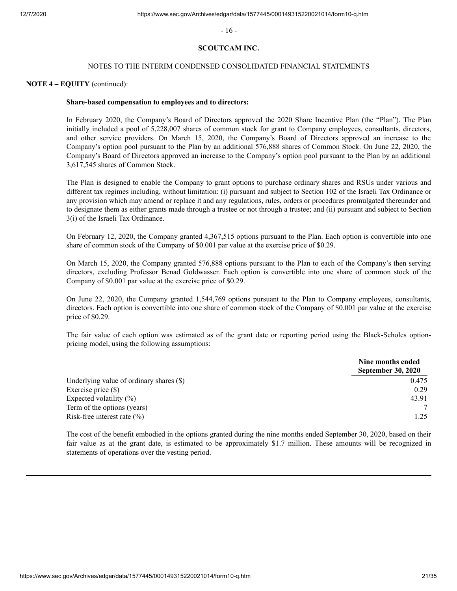- 16 -

#### **SCOUTCAM INC.**

#### NOTES TO THE INTERIM CONDENSED CONSOLIDATED FINANCIAL STATEMENTS

#### **NOTE 4 – EQUITY** (continued):

#### **Share-based compensation to employees and to directors:**

In February 2020, the Company's Board of Directors approved the 2020 Share Incentive Plan (the "Plan"). The Plan initially included a pool of 5,228,007 shares of common stock for grant to Company employees, consultants, directors, and other service providers. On March 15, 2020, the Company's Board of Directors approved an increase to the Company's option pool pursuant to the Plan by an additional 576,888 shares of Common Stock. On June 22, 2020, the Company's Board of Directors approved an increase to the Company's option pool pursuant to the Plan by an additional 3,617,545 shares of Common Stock.

The Plan is designed to enable the Company to grant options to purchase ordinary shares and RSUs under various and different tax regimes including, without limitation: (i) pursuant and subject to Section 102 of the Israeli Tax Ordinance or any provision which may amend or replace it and any regulations, rules, orders or procedures promulgated thereunder and to designate them as either grants made through a trustee or not through a trustee; and (ii) pursuant and subject to Section 3(i) of the Israeli Tax Ordinance.

On February 12, 2020, the Company granted 4,367,515 options pursuant to the Plan. Each option is convertible into one share of common stock of the Company of \$0.001 par value at the exercise price of \$0.29.

On March 15, 2020, the Company granted 576,888 options pursuant to the Plan to each of the Company's then serving directors, excluding Professor Benad Goldwasser. Each option is convertible into one share of common stock of the Company of \$0.001 par value at the exercise price of \$0.29.

On June 22, 2020, the Company granted 1,544,769 options pursuant to the Plan to Company employees, consultants, directors. Each option is convertible into one share of common stock of the Company of \$0.001 par value at the exercise price of \$0.29.

The fair value of each option was estimated as of the grant date or reporting period using the Black-Scholes optionpricing model, using the following assumptions:

|                                            | Nine months ended<br><b>September 30, 2020</b> |
|--------------------------------------------|------------------------------------------------|
| Underlying value of ordinary shares $(\$)$ | 0.475                                          |
| Exercise price $(\$)$                      | 0.29                                           |
| Expected volatility $(\%)$                 | 43.91                                          |
| Term of the options (years)                |                                                |
| Risk-free interest rate $(\% )$            | 1.25                                           |

The cost of the benefit embodied in the options granted during the nine months ended September 30, 2020, based on their fair value as at the grant date, is estimated to be approximately \$1.7 million. These amounts will be recognized in statements of operations over the vesting period.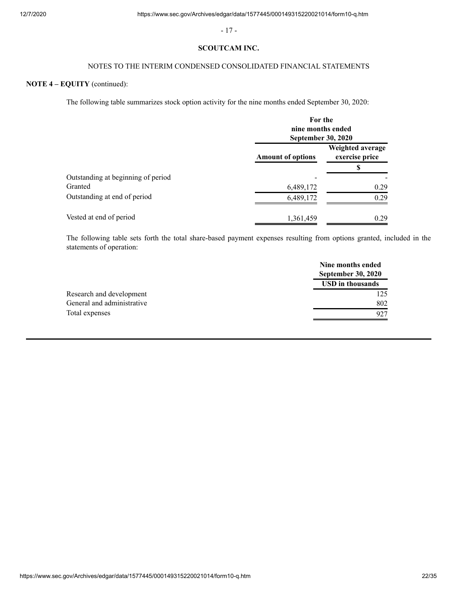- 17 -

### **SCOUTCAM INC.**

# NOTES TO THE INTERIM CONDENSED CONSOLIDATED FINANCIAL STATEMENTS

# **NOTE 4 – EQUITY** (continued):

The following table summarizes stock option activity for the nine months ended September 30, 2020:

|                                    | For the<br>nine months ended<br><b>September 30, 2020</b> |                                    |  |
|------------------------------------|-----------------------------------------------------------|------------------------------------|--|
|                                    | <b>Amount of options</b>                                  | Weighted average<br>exercise price |  |
|                                    |                                                           | S                                  |  |
| Outstanding at beginning of period |                                                           |                                    |  |
| Granted                            | 6,489,172                                                 | 0.29                               |  |
| Outstanding at end of period       | 6,489,172                                                 | 0.29                               |  |
| Vested at end of period            | 1,361,459                                                 | 0.29                               |  |

The following table sets forth the total share-based payment expenses resulting from options granted, included in the statements of operation:

|                            | Nine months ended<br><b>September 30, 2020</b> |
|----------------------------|------------------------------------------------|
|                            | <b>USD</b> in thousands                        |
| Research and development   | 125                                            |
| General and administrative | 802                                            |
| Total expenses             | 927                                            |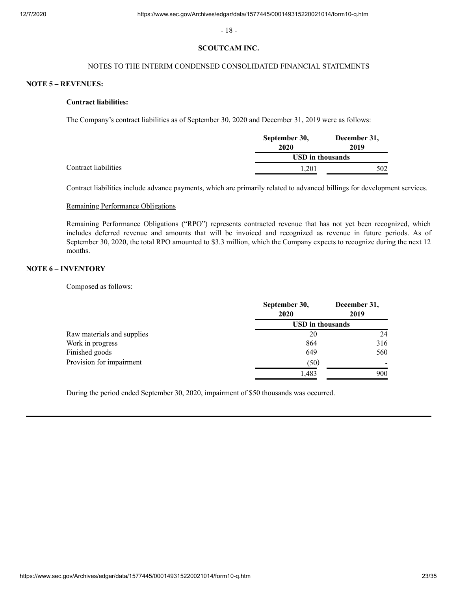- 18 -

#### **SCOUTCAM INC.**

# NOTES TO THE INTERIM CONDENSED CONSOLIDATED FINANCIAL STATEMENTS

#### **NOTE 5 – REVENUES:**

#### **Contract liabilities:**

The Company's contract liabilities as of September 30, 2020 and December 31, 2019 were as follows:

|                      | September 30,           | December 31,<br>2019 |  |
|----------------------|-------------------------|----------------------|--|
|                      | 2020                    |                      |  |
|                      | <b>USD</b> in thousands |                      |  |
| Contract liabilities | 1.201                   | 502                  |  |

Contract liabilities include advance payments, which are primarily related to advanced billings for development services.

#### Remaining Performance Obligations

Remaining Performance Obligations ("RPO") represents contracted revenue that has not yet been recognized, which includes deferred revenue and amounts that will be invoiced and recognized as revenue in future periods. As of September 30, 2020, the total RPO amounted to \$3.3 million, which the Company expects to recognize during the next 12 months.

# **NOTE 6 – INVENTORY**

Composed as follows:

|                            | September 30,<br>2020   | December 31,<br>2019 |  |
|----------------------------|-------------------------|----------------------|--|
|                            | <b>USD</b> in thousands |                      |  |
| Raw materials and supplies | 20                      | 24                   |  |
| Work in progress           | 864                     | 316                  |  |
| Finished goods             | 649                     | 560                  |  |
| Provision for impairment   | (50)                    |                      |  |
|                            | 1,483                   | 900                  |  |

During the period ended September 30, 2020, impairment of \$50 thousands was occurred.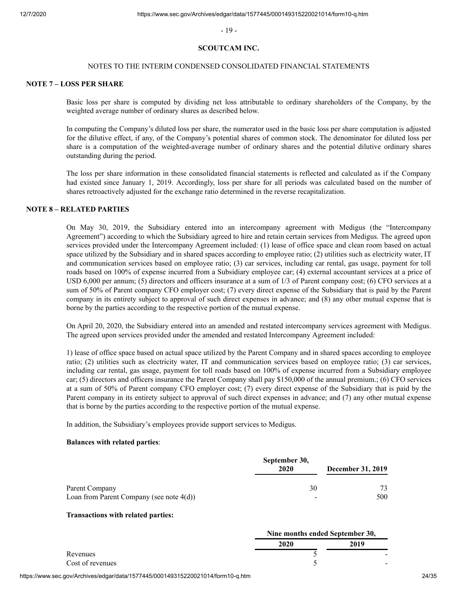- 19 -

#### **SCOUTCAM INC.**

#### NOTES TO THE INTERIM CONDENSED CONSOLIDATED FINANCIAL STATEMENTS

#### **NOTE 7 – LOSS PER SHARE**

Basic loss per share is computed by dividing net loss attributable to ordinary shareholders of the Company, by the weighted average number of ordinary shares as described below.

In computing the Company's diluted loss per share, the numerator used in the basic loss per share computation is adjusted for the dilutive effect, if any, of the Company's potential shares of common stock. The denominator for diluted loss per share is a computation of the weighted-average number of ordinary shares and the potential dilutive ordinary shares outstanding during the period.

The loss per share information in these consolidated financial statements is reflected and calculated as if the Company had existed since January 1, 2019. Accordingly, loss per share for all periods was calculated based on the number of shares retroactively adjusted for the exchange ratio determined in the reverse recapitalization.

# **NOTE 8 – RELATED PARTIES**

On May 30, 2019, the Subsidiary entered into an intercompany agreement with Medigus (the "Intercompany Agreement") according to which the Subsidiary agreed to hire and retain certain services from Medigus. The agreed upon services provided under the Intercompany Agreement included: (1) lease of office space and clean room based on actual space utilized by the Subsidiary and in shared spaces according to employee ratio; (2) utilities such as electricity water, IT and communication services based on employee ratio; (3) car services, including car rental, gas usage, payment for toll roads based on 100% of expense incurred from a Subsidiary employee car; (4) external accountant services at a price of USD 6,000 per annum; (5) directors and officers insurance at a sum of 1/3 of Parent company cost; (6) CFO services at a sum of 50% of Parent company CFO employer cost; (7) every direct expense of the Subsidiary that is paid by the Parent company in its entirety subject to approval of such direct expenses in advance; and (8) any other mutual expense that is borne by the parties according to the respective portion of the mutual expense.

On April 20, 2020, the Subsidiary entered into an amended and restated intercompany services agreement with Medigus. The agreed upon services provided under the amended and restated Intercompany Agreement included:

1) lease of office space based on actual space utilized by the Parent Company and in shared spaces according to employee ratio; (2) utilities such as electricity water, IT and communication services based on employee ratio; (3) car services, including car rental, gas usage, payment for toll roads based on 100% of expense incurred from a Subsidiary employee car; (5) directors and officers insurance the Parent Company shall pay \$150,000 of the annual premium.; (6) CFO services at a sum of 50% of Parent company CFO employer cost; (7) every direct expense of the Subsidiary that is paid by the Parent company in its entirety subject to approval of such direct expenses in advance; and (7) any other mutual expense that is borne by the parties according to the respective portion of the mutual expense.

In addition, the Subsidiary's employees provide support services to Medigus.

#### **Balances with related parties**:

|                                             | September 30,            |                          |
|---------------------------------------------|--------------------------|--------------------------|
|                                             | 2020                     | <b>December 31, 2019</b> |
| Parent Company                              | 30                       | 73                       |
| Loan from Parent Company (see note $4(d)$ ) | $\overline{\phantom{a}}$ | 500                      |

#### **Transactions with related parties:**

|                  | Nine months ended September 30, |      |  |
|------------------|---------------------------------|------|--|
|                  | 2020                            | 2019 |  |
| Revenues         |                                 |      |  |
| Cost of revenues |                                 |      |  |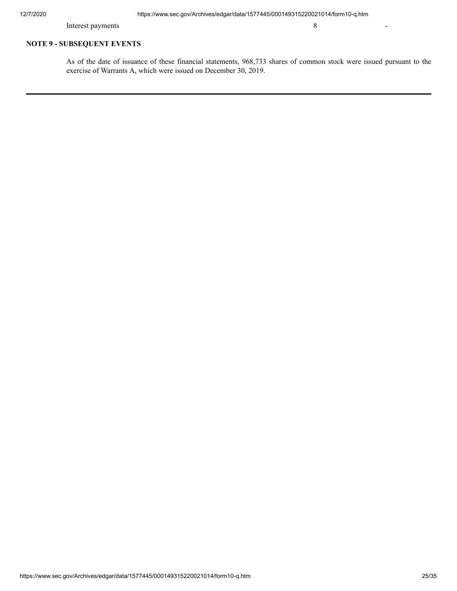Interest payments 8

# **NOTE 9 - SUBSEQUENT EVENTS**

As of the date of issuance of these financial statements, 968,733 shares of common stock were issued pursuant to the exercise of Warrants A, which were issued on December 30, 2019.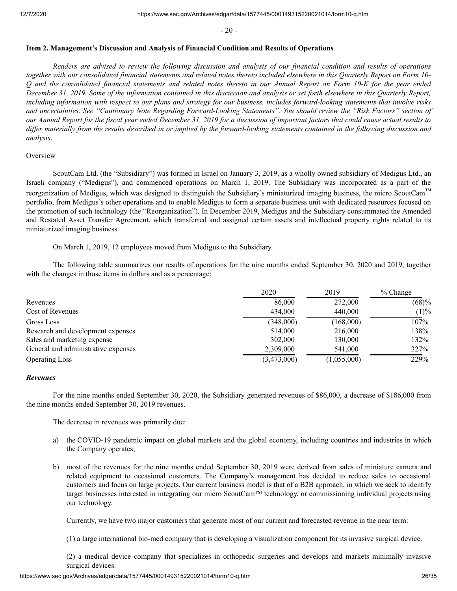$-20-$ 

#### <span id="page-25-0"></span>**Item 2. Management's Discussion and Analysis of Financial Condition and Results of Operations**

*Readers are advised to review the following discussion and analysis of our financial condition and results of operations together with our consolidated financial statements and related notes thereto included elsewhere in this Quarterly Report on Form 10- Q and the consolidated financial statements and related notes thereto in our Annual Report on Form 10-K for the year ended December 31, 2019. Some of the information contained in this discussion and analysis or set forth elsewhere in this Quarterly Report, including information with respect to our plans and strategy for our business, includes forward-looking statements that involve risks and uncertainties. See "Cautionary Note Regarding Forward-Looking Statements". You should review the "Risk Factors" section of our Annual Report for the fiscal year ended December 31, 2019 for a discussion of important factors that could cause actual results to differ materially from the results described in or implied by the forward-looking statements contained in the following discussion and analysis*.

#### **Overview**

ScoutCam Ltd. (the "Subsidiary") was formed in Israel on January 3, 2019, as a wholly owned subsidiary of Medigus Ltd., an Israeli company ("Medigus"), and commenced operations on March 1, 2019. The Subsidiary was incorporated as a part of the reorganization of Medigus, which was designed to distinguish the Subsidiary's miniaturized imaging business, the micro ScoutCam™ portfolio, from Medigus's other operations and to enable Medigus to form a separate business unit with dedicated resources focused on the promotion of such technology (the "Reorganization"). In December 2019, Medigus and the Subsidiary consummated the Amended and Restated Asset Transfer Agreement, which transferred and assigned certain assets and intellectual property rights related to its miniaturized imaging business.

On March 1, 2019, 12 employees moved from Medigus to the Subsidiary.

The following table summarizes our results of operations for the nine months ended September 30, 2020 and 2019, together with the changes in those items in dollars and as a percentage:

|                                     | 2020        | 2019        | $%$ Change |
|-------------------------------------|-------------|-------------|------------|
| Revenues                            | 86,000      | 272,000     | (68)%      |
| Cost of Revenues                    | 434,000     | 440,000     | (1)%       |
| Gross Loss                          | (348,000)   | (168,000)   | 107%       |
| Research and development expenses   | 514,000     | 216,000     | 138%       |
| Sales and marketing expense         | 302,000     | 130,000     | 132%       |
| General and administrative expenses | 2,309,000   | 541,000     | 327%       |
| <b>Operating Loss</b>               | (3,473,000) | (1,055,000) | 229%       |

#### *Revenues*

For the nine months ended September 30, 2020, the Subsidiary generated revenues of \$86,000, a decrease of \$186,000 from the nine months ended September 30, 2019 revenues.

The decrease in revenues was primarily due:

- a) the COVID-19 pandemic impact on global markets and the global economy, including countries and industries in which the Company operates;
- b) most of the revenues for the nine months ended September 30, 2019 were derived from sales of miniature camera and related equipment to occasional customers. The Company's management has decided to reduce sales to occasional customers and focus on large projects. Our current business model is that of a B2B approach, in which we seek to identify target businesses interested in integrating our micro ScoutCam™ technology, or commissioning individual projects using our technology.

Currently, we have two major customers that generate most of our current and forecasted revenue in the near term:

(1) a large international bio-med company that is developing a visualization component for its invasive surgical device.

(2) a medical device company that specializes in orthopedic surgeries and develops and markets minimally invasive surgical devices.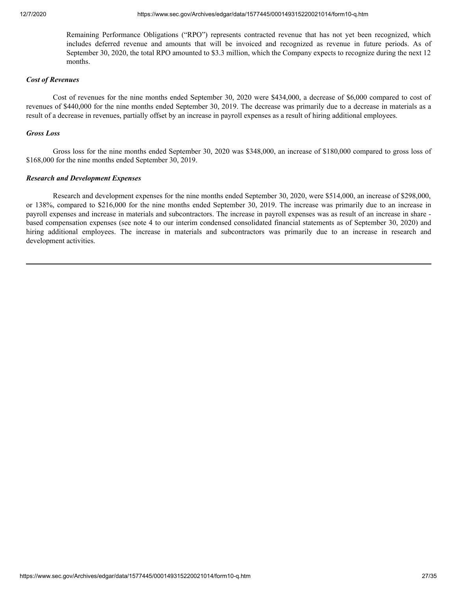Remaining Performance Obligations ("RPO") represents contracted revenue that has not yet been recognized, which includes deferred revenue and amounts that will be invoiced and recognized as revenue in future periods. As of September 30, 2020, the total RPO amounted to \$3.3 million, which the Company expects to recognize during the next 12 months.

#### *Cost of Revenues*

Cost of revenues for the nine months ended September 30, 2020 were \$434,000, a decrease of \$6,000 compared to cost of revenues of \$440,000 for the nine months ended September 30, 2019. The decrease was primarily due to a decrease in materials as a result of a decrease in revenues, partially offset by an increase in payroll expenses as a result of hiring additional employees.

#### *Gross Loss*

Gross loss for the nine months ended September 30, 2020 was \$348,000, an increase of \$180,000 compared to gross loss of \$168,000 for the nine months ended September 30, 2019.

#### *Research and Development Expenses*

Research and development expenses for the nine months ended September 30, 2020, were \$514,000, an increase of \$298,000, or 138%, compared to \$216,000 for the nine months ended September 30, 2019. The increase was primarily due to an increase in payroll expenses and increase in materials and subcontractors. The increase in payroll expenses was as result of an increase in share based compensation expenses (see note 4 to our interim condensed consolidated financial statements as of September 30, 2020) and hiring additional employees. The increase in materials and subcontractors was primarily due to an increase in research and development activities.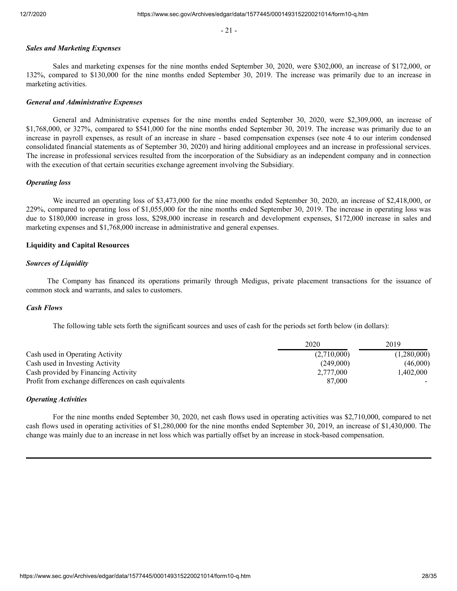- 21 -

#### *Sales and Marketing Expenses*

Sales and marketing expenses for the nine months ended September 30, 2020, were \$302,000, an increase of \$172,000, or 132%, compared to \$130,000 for the nine months ended September 30, 2019. The increase was primarily due to an increase in marketing activities.

#### *General and Administrative Expenses*

General and Administrative expenses for the nine months ended September 30, 2020, were \$2,309,000, an increase of \$1,768,000, or 327%, compared to \$541,000 for the nine months ended September 30, 2019. The increase was primarily due to an increase in payroll expenses, as result of an increase in share - based compensation expenses (see note 4 to our interim condensed consolidated financial statements as of September 30, 2020) and hiring additional employees and an increase in professional services. The increase in professional services resulted from the incorporation of the Subsidiary as an independent company and in connection with the execution of that certain securities exchange agreement involving the Subsidiary.

#### *Operating loss*

We incurred an operating loss of \$3,473,000 for the nine months ended September 30, 2020, an increase of \$2,418,000, or 229%, compared to operating loss of \$1,055,000 for the nine months ended September 30, 2019. The increase in operating loss was due to \$180,000 increase in gross loss, \$298,000 increase in research and development expenses, \$172,000 increase in sales and marketing expenses and \$1,768,000 increase in administrative and general expenses.

# **Liquidity and Capital Resources**

#### *Sources of Liquidity*

The Company has financed its operations primarily through Medigus, private placement transactions for the issuance of common stock and warrants, and sales to customers.

#### *Cash Flows*

The following table sets forth the significant sources and uses of cash for the periods set forth below (in dollars):

|                                                      | 2020        | 2019        |
|------------------------------------------------------|-------------|-------------|
| Cash used in Operating Activity                      | (2,710,000) | (1,280,000) |
| Cash used in Investing Activity                      | (249,000)   | (46,000)    |
| Cash provided by Financing Activity                  | 2.777,000   | 1.402.000   |
| Profit from exchange differences on cash equivalents | 87,000      |             |

#### *Operating Activities*

For the nine months ended September 30, 2020, net cash flows used in operating activities was \$2,710,000, compared to net cash flows used in operating activities of \$1,280,000 for the nine months ended September 30, 2019, an increase of \$1,430,000. The change was mainly due to an increase in net loss which was partially offset by an increase in stock-based compensation.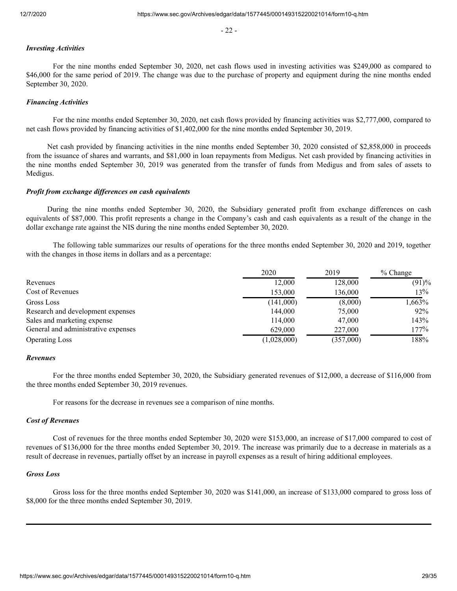- 22 -

# *Investing Activities*

For the nine months ended September 30, 2020, net cash flows used in investing activities was \$249,000 as compared to \$46,000 for the same period of 2019. The change was due to the purchase of property and equipment during the nine months ended September 30, 2020.

#### *Financing Activities*

For the nine months ended September 30, 2020, net cash flows provided by financing activities was \$2,777,000, compared to net cash flows provided by financing activities of \$1,402,000 for the nine months ended September 30, 2019.

Net cash provided by financing activities in the nine months ended September 30, 2020 consisted of \$2,858,000 in proceeds from the issuance of shares and warrants, and \$81,000 in loan repayments from Medigus. Net cash provided by financing activities in the nine months ended September 30, 2019 was generated from the transfer of funds from Medigus and from sales of assets to Medigus.

#### *Profit from exchange differences on cash equivalents*

During the nine months ended September 30, 2020, the Subsidiary generated profit from exchange differences on cash equivalents of \$87,000. This profit represents a change in the Company's cash and cash equivalents as a result of the change in the dollar exchange rate against the NIS during the nine months ended September 30, 2020.

The following table summarizes our results of operations for the three months ended September 30, 2020 and 2019, together with the changes in those items in dollars and as a percentage:

|                                     | 2020        | 2019      | $%$ Change |
|-------------------------------------|-------------|-----------|------------|
| Revenues                            | 12,000      | 128,000   | (91)%      |
| Cost of Revenues                    | 153,000     | 136,000   | 13%        |
| Gross Loss                          | (141,000)   | (8,000)   | 1,663%     |
| Research and development expenses   | 144,000     | 75,000    | 92%        |
| Sales and marketing expense         | 114,000     | 47,000    | 143%       |
| General and administrative expenses | 629,000     | 227,000   | 177%       |
| <b>Operating Loss</b>               | (1,028,000) | (357,000) | 188%       |

#### *Revenues*

For the three months ended September 30, 2020, the Subsidiary generated revenues of \$12,000, a decrease of \$116,000 from the three months ended September 30, 2019 revenues.

For reasons for the decrease in revenues see a comparison of nine months.

#### *Cost of Revenues*

Cost of revenues for the three months ended September 30, 2020 were \$153,000, an increase of \$17,000 compared to cost of revenues of \$136,000 for the three months ended September 30, 2019. The increase was primarily due to a decrease in materials as a result of decrease in revenues, partially offset by an increase in payroll expenses as a result of hiring additional employees.

#### *Gross Loss*

Gross loss for the three months ended September 30, 2020 was \$141,000, an increase of \$133,000 compared to gross loss of \$8,000 for the three months ended September 30, 2019.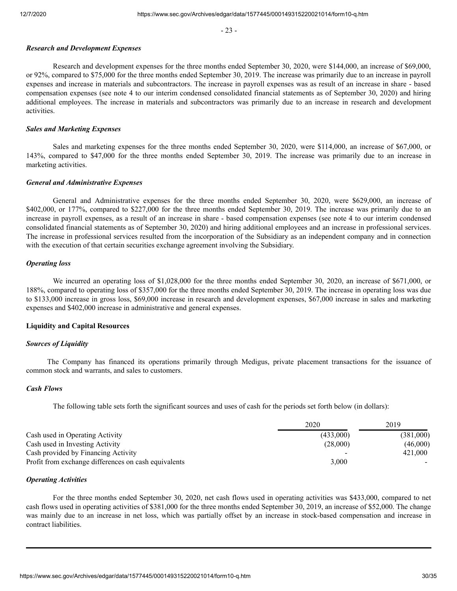- 23 -

#### *Research and Development Expenses*

Research and development expenses for the three months ended September 30, 2020, were \$144,000, an increase of \$69,000, or 92%, compared to \$75,000 for the three months ended September 30, 2019. The increase was primarily due to an increase in payroll expenses and increase in materials and subcontractors. The increase in payroll expenses was as result of an increase in share - based compensation expenses (see note 4 to our interim condensed consolidated financial statements as of September 30, 2020) and hiring additional employees. The increase in materials and subcontractors was primarily due to an increase in research and development activities.

#### *Sales and Marketing Expenses*

Sales and marketing expenses for the three months ended September 30, 2020, were \$114,000, an increase of \$67,000, or 143%, compared to \$47,000 for the three months ended September 30, 2019. The increase was primarily due to an increase in marketing activities.

#### *General and Administrative Expenses*

General and Administrative expenses for the three months ended September 30, 2020, were \$629,000, an increase of \$402,000, or 177%, compared to \$227,000 for the three months ended September 30, 2019. The increase was primarily due to an increase in payroll expenses, as a result of an increase in share - based compensation expenses (see note 4 to our interim condensed consolidated financial statements as of September 30, 2020) and hiring additional employees and an increase in professional services. The increase in professional services resulted from the incorporation of the Subsidiary as an independent company and in connection with the execution of that certain securities exchange agreement involving the Subsidiary.

#### *Operating loss*

We incurred an operating loss of \$1,028,000 for the three months ended September 30, 2020, an increase of \$671,000, or 188%, compared to operating loss of \$357,000 for the three months ended September 30, 2019. The increase in operating loss was due to \$133,000 increase in gross loss, \$69,000 increase in research and development expenses, \$67,000 increase in sales and marketing expenses and \$402,000 increase in administrative and general expenses.

#### **Liquidity and Capital Resources**

#### *Sources of Liquidity*

The Company has financed its operations primarily through Medigus, private placement transactions for the issuance of common stock and warrants, and sales to customers.

#### *Cash Flows*

The following table sets forth the significant sources and uses of cash for the periods set forth below (in dollars):

|                                                      | 2020      | 2019      |
|------------------------------------------------------|-----------|-----------|
| Cash used in Operating Activity                      | (433,000) | (381,000) |
| Cash used in Investing Activity                      | (28,000)  | (46,000)  |
| Cash provided by Financing Activity                  |           | 421,000   |
| Profit from exchange differences on cash equivalents | 3.000     |           |

#### *Operating Activities*

For the three months ended September 30, 2020, net cash flows used in operating activities was \$433,000, compared to net cash flows used in operating activities of \$381,000 for the three months ended September 30, 2019, an increase of \$52,000. The change was mainly due to an increase in net loss, which was partially offset by an increase in stock-based compensation and increase in contract liabilities.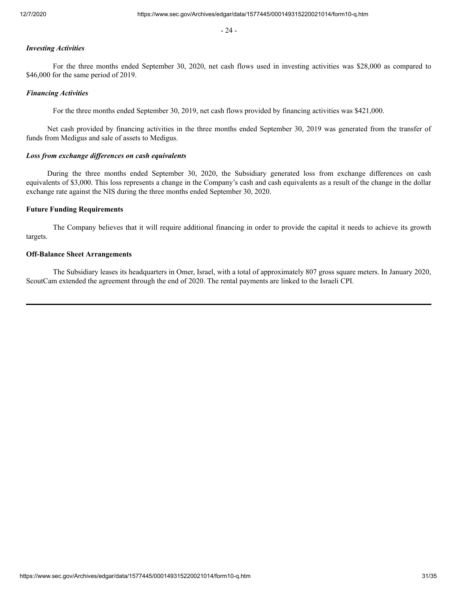- 24 -

# *Investing Activities*

For the three months ended September 30, 2020, net cash flows used in investing activities was \$28,000 as compared to \$46,000 for the same period of 2019.

#### *Financing Activities*

For the three months ended September 30, 2019, net cash flows provided by financing activities was \$421,000.

Net cash provided by financing activities in the three months ended September 30, 2019 was generated from the transfer of funds from Medigus and sale of assets to Medigus.

#### *Loss from exchange differences on cash equivalents*

During the three months ended September 30, 2020, the Subsidiary generated loss from exchange differences on cash equivalents of \$3,000. This loss represents a change in the Company's cash and cash equivalents as a result of the change in the dollar exchange rate against the NIS during the three months ended September 30, 2020.

#### **Future Funding Requirements**

The Company believes that it will require additional financing in order to provide the capital it needs to achieve its growth targets.

# **Off-Balance Sheet Arrangements**

The Subsidiary leases its headquarters in Omer, Israel, with a total of approximately 807 gross square meters. In January 2020, ScoutCam extended the agreement through the end of 2020. The rental payments are linked to the Israeli CPI.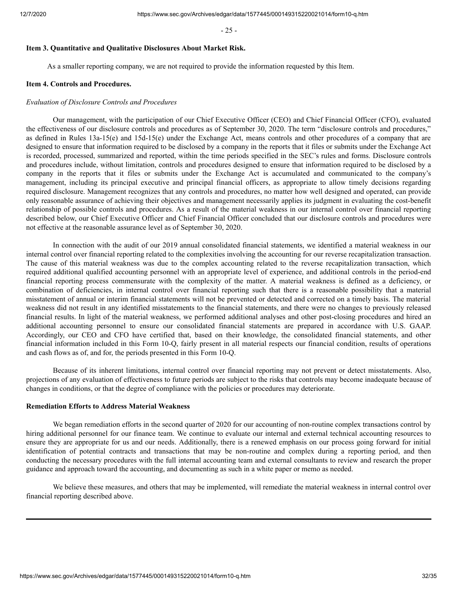- 25 -

#### <span id="page-31-0"></span>**Item 3. Quantitative and Qualitative Disclosures About Market Risk.**

As a smaller reporting company, we are not required to provide the information requested by this Item.

#### <span id="page-31-1"></span>**Item 4. Controls and Procedures.**

#### *Evaluation of Disclosure Controls and Procedures*

Our management, with the participation of our Chief Executive Officer (CEO) and Chief Financial Officer (CFO), evaluated the effectiveness of our disclosure controls and procedures as of September 30, 2020. The term "disclosure controls and procedures," as defined in Rules 13a-15(e) and 15d-15(e) under the Exchange Act, means controls and other procedures of a company that are designed to ensure that information required to be disclosed by a company in the reports that it files or submits under the Exchange Act is recorded, processed, summarized and reported, within the time periods specified in the SEC's rules and forms. Disclosure controls and procedures include, without limitation, controls and procedures designed to ensure that information required to be disclosed by a company in the reports that it files or submits under the Exchange Act is accumulated and communicated to the company's management, including its principal executive and principal financial officers, as appropriate to allow timely decisions regarding required disclosure. Management recognizes that any controls and procedures, no matter how well designed and operated, can provide only reasonable assurance of achieving their objectives and management necessarily applies its judgment in evaluating the cost-benefit relationship of possible controls and procedures. As a result of the material weakness in our internal control over financial reporting described below, our Chief Executive Officer and Chief Financial Officer concluded that our disclosure controls and procedures were not effective at the reasonable assurance level as of September 30, 2020.

In connection with the audit of our 2019 annual consolidated financial statements, we identified a material weakness in our internal control over financial reporting related to the complexities involving the accounting for our reverse recapitalization transaction. The cause of this material weakness was due to the complex accounting related to the reverse recapitalization transaction, which required additional qualified accounting personnel with an appropriate level of experience, and additional controls in the period-end financial reporting process commensurate with the complexity of the matter. A material weakness is defined as a deficiency, or combination of deficiencies, in internal control over financial reporting such that there is a reasonable possibility that a material misstatement of annual or interim financial statements will not be prevented or detected and corrected on a timely basis. The material weakness did not result in any identified misstatements to the financial statements, and there were no changes to previously released financial results. In light of the material weakness, we performed additional analyses and other post-closing procedures and hired an additional accounting personnel to ensure our consolidated financial statements are prepared in accordance with U.S. GAAP. Accordingly, our CEO and CFO have certified that, based on their knowledge, the consolidated financial statements, and other financial information included in this Form 10-Q, fairly present in all material respects our financial condition, results of operations and cash flows as of, and for, the periods presented in this Form 10-Q.

Because of its inherent limitations, internal control over financial reporting may not prevent or detect misstatements. Also, projections of any evaluation of effectiveness to future periods are subject to the risks that controls may become inadequate because of changes in conditions, or that the degree of compliance with the policies or procedures may deteriorate.

#### **Remediation Efforts to Address Material Weakness**

We began remediation efforts in the second quarter of 2020 for our accounting of non-routine complex transactions control by hiring additional personnel for our finance team. We continue to evaluate our internal and external technical accounting resources to ensure they are appropriate for us and our needs. Additionally, there is a renewed emphasis on our process going forward for initial identification of potential contracts and transactions that may be non-routine and complex during a reporting period, and then conducting the necessary procedures with the full internal accounting team and external consultants to review and research the proper guidance and approach toward the accounting, and documenting as such in a white paper or memo as needed.

We believe these measures, and others that may be implemented, will remediate the material weakness in internal control over financial reporting described above.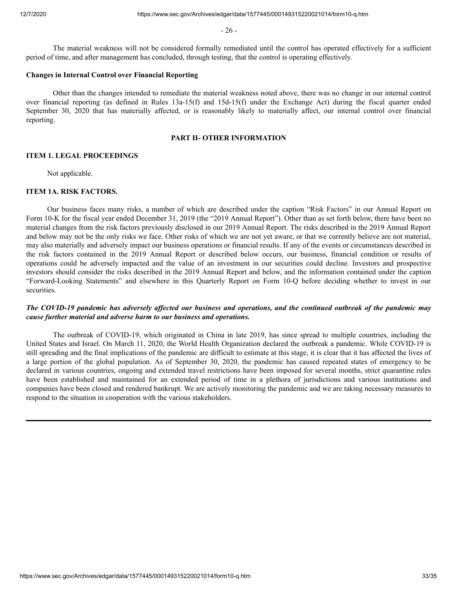- 26 -

The material weakness will not be considered formally remediated until the control has operated effectively for a sufficient period of time, and after management has concluded, through testing, that the control is operating effectively.

#### **Changes in Internal Control over Financial Reporting**

Other than the changes intended to remediate the material weakness noted above, there was no change in our internal control over financial reporting (as defined in Rules 13a-15(f) and 15d-15(f) under the Exchange Act) during the fiscal quarter ended September 30, 2020 that has materially affected, or is reasonably likely to materially affect, our internal control over financial reporting.

#### **PART II- OTHER INFORMATION**

#### <span id="page-32-0"></span>**ITEM 1. LEGAL PROCEEDINGS**

Not applicable.

# <span id="page-32-1"></span>**ITEM 1A. RISK FACTORS.**

Our business faces many risks, a number of which are described under the caption "Risk Factors" in our Annual Report on Form 10-K for the fiscal year ended December 31, 2019 (the "2019 Annual Report"). Other than as set forth below, there have been no material changes from the risk factors previously disclosed in our 2019 Annual Report. The risks described in the 2019 Annual Report and below may not be the only risks we face. Other risks of which we are not yet aware, or that we currently believe are not material, may also materially and adversely impact our business operations or financial results. If any of the events or circumstances described in the risk factors contained in the 2019 Annual Report or described below occurs, our business, financial condition or results of operations could be adversely impacted and the value of an investment in our securities could decline. Investors and prospective investors should consider the risks described in the 2019 Annual Report and below, and the information contained under the caption "Forward-Looking Statements" and elsewhere in this Quarterly Report on Form 10-Q before deciding whether to invest in our securities.

# *The COVID-19 pandemic has adversely affected our business and operations, and the continued outbreak of the pandemic may cause further material and adverse harm to our business and operations.*

The outbreak of COVID-19, which originated in China in late 2019, has since spread to multiple countries, including the United States and Israel. On March 11, 2020, the World Health Organization declared the outbreak a pandemic. While COVID-19 is still spreading and the final implications of the pandemic are difficult to estimate at this stage, it is clear that it has affected the lives of a large portion of the global population. As of September 30, 2020, the pandemic has caused repeated states of emergency to be declared in various countries, ongoing and extended travel restrictions have been imposed for several months, strict quarantine rules have been established and maintained for an extended period of time in a plethora of jurisdictions and various institutions and companies have been closed and rendered bankrupt. We are actively monitoring the pandemic and we are taking necessary measures to respond to the situation in cooperation with the various stakeholders.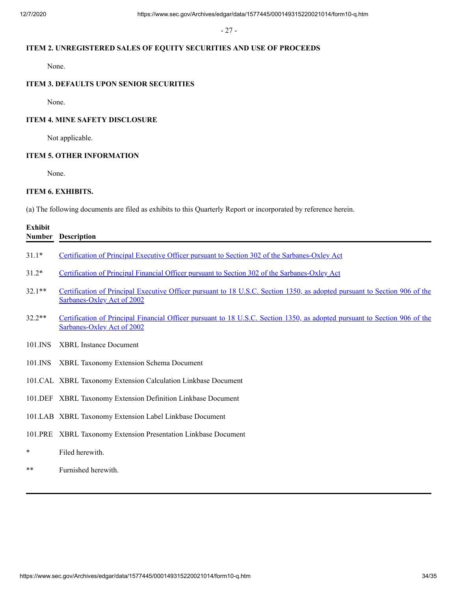- 27 -

# **ITEM 2. UNREGISTERED SALES OF EQUITY SECURITIES AND USE OF PROCEEDS**

None.

# **ITEM 3. DEFAULTS UPON SENIOR SECURITIES**

None.

# **ITEM 4. MINE SAFETY DISCLOSURE**

Not applicable.

# **ITEM 5. OTHER INFORMATION**

None.

# <span id="page-33-0"></span>**ITEM 6. EXHIBITS.**

(a) The following documents are filed as exhibits to this Quarterly Report or incorporated by reference herein.

| <b>Exhibit</b><br><b>Number</b> | <b>Description</b>                                                                                                                                       |
|---------------------------------|----------------------------------------------------------------------------------------------------------------------------------------------------------|
| $31.1*$                         | Certification of Principal Executive Officer pursuant to Section 302 of the Sarbanes-Oxley Act                                                           |
| $31.2*$                         | Certification of Principal Financial Officer pursuant to Section 302 of the Sarbanes-Oxley Act                                                           |
| $32.1**$                        | Certification of Principal Executive Officer pursuant to 18 U.S.C. Section 1350, as adopted pursuant to Section 906 of the<br>Sarbanes-Oxley Act of 2002 |
| $32.2**$                        | Certification of Principal Financial Officer pursuant to 18 U.S.C. Section 1350, as adopted pursuant to Section 906 of the<br>Sarbanes-Oxley Act of 2002 |
| 101.INS                         | <b>XBRL</b> Instance Document                                                                                                                            |
| 101.INS                         | XBRL Taxonomy Extension Schema Document                                                                                                                  |
|                                 | 101.CAL XBRL Taxonomy Extension Calculation Linkbase Document                                                                                            |
|                                 | 101.DEF XBRL Taxonomy Extension Definition Linkbase Document                                                                                             |
|                                 | 101.LAB XBRL Taxonomy Extension Label Linkbase Document                                                                                                  |
|                                 | 101.PRE XBRL Taxonomy Extension Presentation Linkbase Document                                                                                           |
| *                               | Filed herewith.                                                                                                                                          |
| **                              | Furnished herewith.                                                                                                                                      |